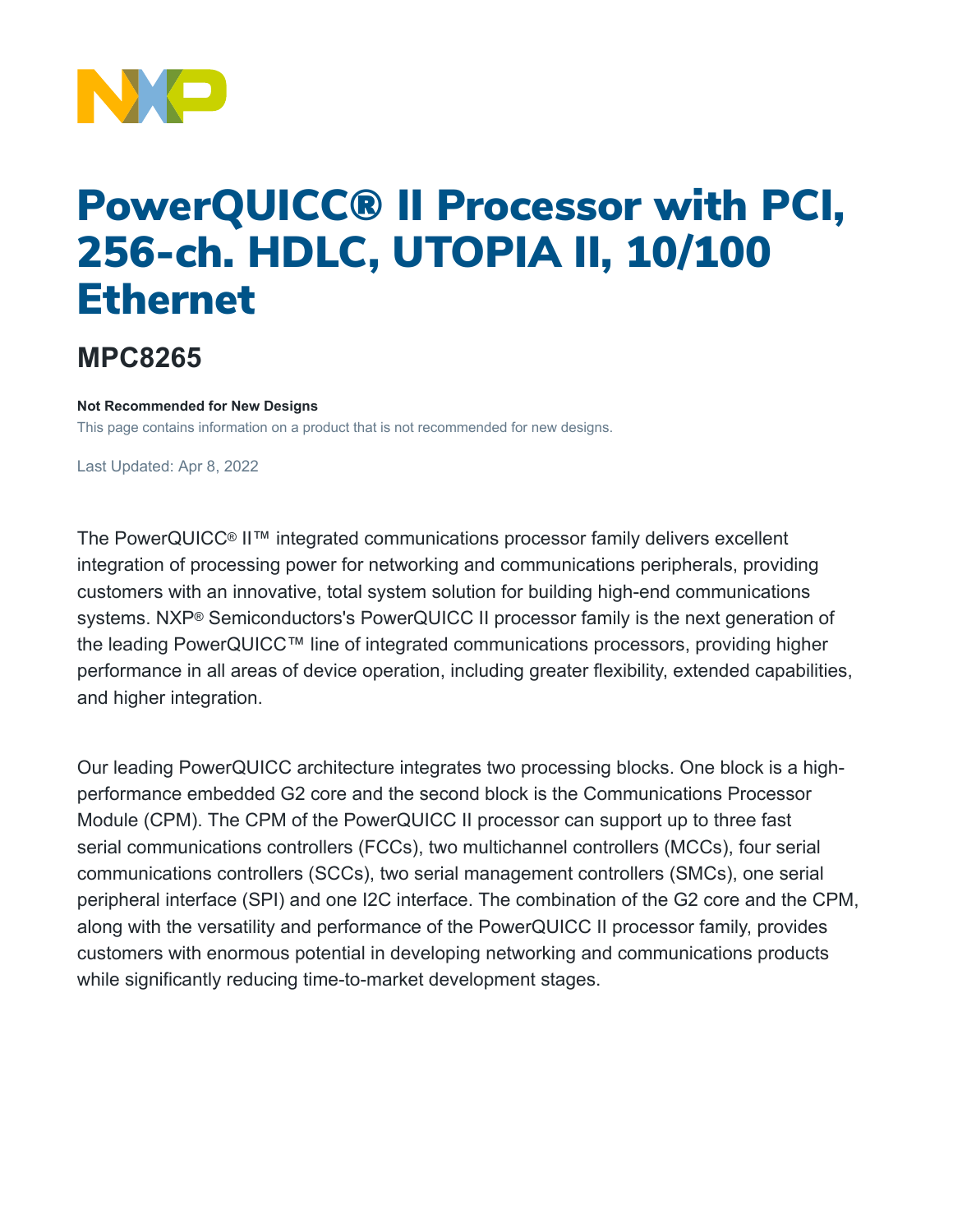

# PowerQUICC® II Processor with PCI, 256-ch. HDLC, UTOPIA II, 10/100 Ethernet

## **MPC8265**

#### **Not Recommended for New Designs**

This page contains information on a product that is not recommended for new designs.

Last Updated: Apr 8, 2022

The PowerQUICC® II™ integrated communications processor family delivers excellent integration of processing power for networking and communications peripherals, providing customers with an innovative, total system solution for building high-end communications systems. NXP® Semiconductors's PowerQUICC II processor family is the next generation of the leading PowerQUICC™ line of integrated communications processors, providing higher performance in all areas of device operation, including greater flexibility, extended capabilities, and higher integration.

Our leading PowerQUICC architecture integrates two processing blocks. One block is a highperformance embedded G2 core and the second block is the Communications Processor Module (CPM). The CPM of the PowerQUICC II processor can support up to three fast serial communications controllers (FCCs), two multichannel controllers (MCCs), four serial communications controllers (SCCs), two serial management controllers (SMCs), one serial peripheral interface (SPI) and one I2C interface. The combination of the G2 core and the CPM, along with the versatility and performance of the PowerQUICC II processor family, provides customers with enormous potential in developing networking and communications products while significantly reducing time-to-market development stages.